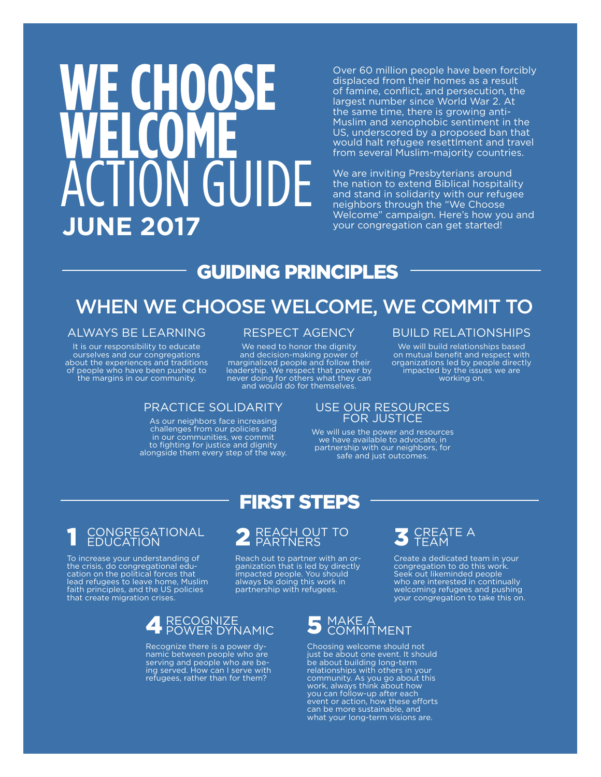# **We Choose** WELCOME  $\Box$ GUIDE **JUNE 2017**

Over 60 million people have been forcibly displaced from their homes as a result of famine, conflict, and persecution, the largest number since World War 2. At the same time, there is growing anti-Muslim and xenophobic sentiment in the US, underscored by a proposed ban that would halt refugee resettlment and travel from several Muslim-majority countries.

We are inviting Presbyterians around the nation to extend Biblical hospitality and stand in solidarity with our refugee neighbors through the "We Choose Welcome" campaign. Here's how you and your congregation can get started!

### Guiding Principles

### When We Choose Welcome, we commit to

#### Always be learning

It is our responsibility to educate ourselves and our congregations about the experiences and traditions of people who have been pushed to the margins in our community.

#### RESPECT AGENCY

We need to honor the dignity and decision-making power of marginalized people and follow their leadership. We respect that power by never doing for others what they can and would do for themselves.

#### PRACTICE SOLIDARITY

As our neighbors face increasing challenges from our policies and in our communities, we commit to fighting for justice and dignity alongside them every step of the way.

#### Build Relationships

We will build relationships based on mutual benefit and respect with organizations led by people directly impacted by the issues we are working on.

#### use our resources for justice

We will use the power and resources we have available to advocate, in partnership with our neighbors, for safe and just outcomes.

### 1 Congregational education

To increase your understanding of the crisis, do congregational education on the political forces that lead refugees to leave home, Muslim faith principles, and the US policies that create migration crises.

### 4 RECOGNIZE<br>4 POWER DYNAMIC

Recognize there is a power dynamic between people who are serving and people who are being served. How can I serve with refugees, rather than for them?

## 2 REACH OUT TO

FIRST STEPS

Reach out to partner with an organization that is led by directly impacted people. You should always be doing this work in partnership with refugees.



Create a dedicated team in your congregation to do this work. Seek out likeminded people who are interested in continually welcoming refugees and pushing your congregation to take this on.

### 5 MAKE A<br>5 COMMITMENT

Choosing welcome should not just be about one event. It should be about building long-term relationships with others in your community. As you go about this work, always think about how you can follow-up after each event or action, how these efforts can be more sustainable, and what your long-term visions are.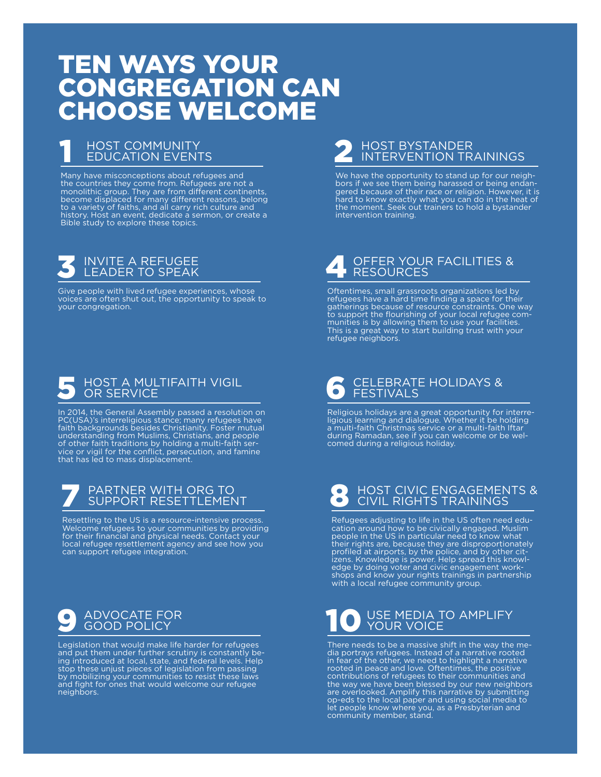### ten ways your congregation can choose welcome

## **1 HOST COMMUNITY<br>EDUCATION EVENTS**

Many have misconceptions about refugees and the countries they come from. Refugees are not a monolithic group. They are from different continents, become displaced for many different reasons, belong to a variety of faiths, and all carry rich culture and history. Host an event, dedicate a sermon, or create a Bible study to explore these topics.

## 3 Invite a refugee leader to speak

Give people with lived refugee experiences, whose voices are often shut out, the opportunity to speak to your congregation.

## S HOST A MULTIFAITH VIGIL

In 2014, the General Assembly passed a resolution on PC(USA)'s interreligious stance; many refugees have faith backgrounds besides Christianity. Foster mutual understanding from Muslims, Christians, and people of other faith traditions by holding a multi-faith service or vigil for the conflict, persecution, and famine that has led to mass displacement.

## 7 Partner with org to support resettlement

Resettling to the US is a resource-intensive process. Welcome refugees to your communities by providing for their financial and physical needs. Contact your local refugee resettlement agency and see how you can support refugee integration.

## **9** ADVOCATE FOR

Legislation that would make life harder for refugees and put them under further scrutiny is constantly be-ing introduced at local, state, and federal levels. Help stop these unjust pieces of legislation from passing by mobilizing your communities to resist these laws and fight for ones that would welcome our refugee neighbors.

## 2 Host Bystander Intervention trainings

We have the opportunity to stand up for our neighbors if we see them being harassed or being endangered because of their race or religion. However, it is hard to know exactly what you can do in the heat of the moment. Seek out trainers to hold a bystander intervention training.

## 4 OFFER YOUR FACILITIES &

Oftentimes, small grassroots organizations led by refugees have a hard time finding a space for their gatherings because of resource constraints. One way to support the flourishing of your local refugee communities is by allowing them to use your facilities. This is a great way to start building trust with your refugee neighbors.

## 6 Celebrate holidays & Festivals

Religious holidays are a great opportunity for interreligious learning and dialogue. Whether it be holding a multi-faith Christmas service or a multi-faith Iftar during Ramadan, see if you can welcome or be welcomed during a religious holiday.

## 8 HOST CIVIC ENGAGEMENTS &

Refugees adjusting to life in the US often need education around how to be civically engaged. Muslim people in the US in particular need to know what their rights are, because they are disproportionately profiled at airports, by the police, and by other citizens. Knowledge is power. Help spread this knowledge by doing voter and civic engagement workshops and know your rights trainings in partnership with a local refugee community group.

## 10 USE MEDIA TO AMPLIFY

There needs to be a massive shift in the way the media portrays refugees. Instead of a narrative rooted in fear of the other, we need to highlight a narrative rooted in peace and love. Oftentimes, the positive contributions of refugees to their communities and the way we have been blessed by our new neighbors are overlooked. Amplify this narrative by submitting op-eds to the local paper and using social media to let people know where you, as a Presbyterian and community member, stand.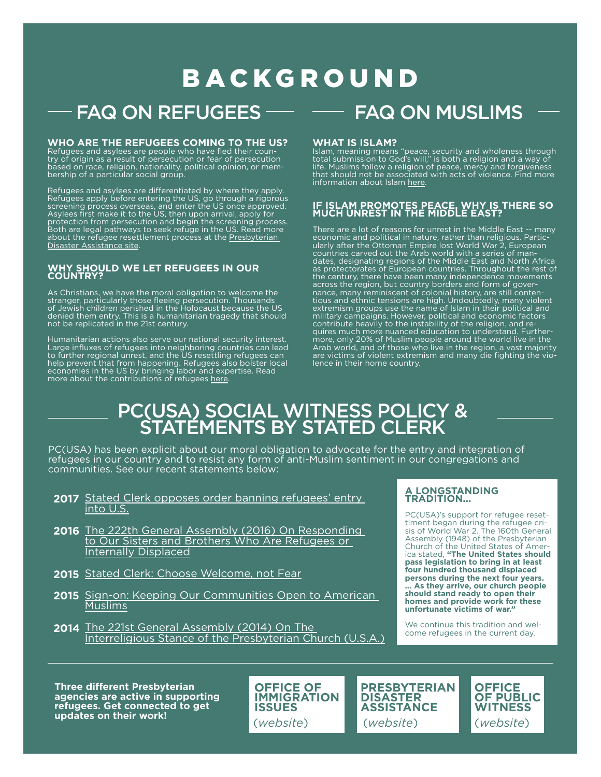### **BACKGROUND**

### $FAQ$  ON REFUGEES  $\longrightarrow$  FAQ ON MUSLIMS

### **Who are the refugees coming to the US?**  Refugees and asylees are people who have fled their coun-

try of origin as a result of persecution or fear of persecution based on race, religion, nationality, political opinion, or membership of a particular social group.

Refugees and asylees are differentiated by where they apply. Refugees apply before entering the US, go through a rigorous screening process overseas, and enter the US once approved. Asylees first make it to the US, then upon arrival, apply for protection from persecution and begin the screening process. Both are legal pathways to seek refuge in the US. Read more about the refugee resettlement process at the Presbyterian [Disaster Assistance site](https://pda.pcusa.org/page/faq-refugee-resettlement/).

#### **Why should we let refugees in our country?**

As Christians, we have the moral obligation to welcome the stranger, particularly those fleeing persecution. Thousands of Jewish children perished in the Holocaust because the U denied them entry. This is a humanitarian tragedy that should not be replicated in the 21st century.

Humanitarian actions also serve our national security interest. Large influxes of refugees into neighboring countries can lead to further regional unrest, and the US resettling refugees can help prevent that from happening. Refugees also bolster local economies in the US by bringing labor and expertise. Read more about the contributions of refugees [here](http://www.rcusa.org/contributions-of-refugees-to-the-us/).

#### **What is islam?**

Islam, meaning means "peace, security and wholeness through total submission to God's will," is both a religion and a way of life. Muslims follow a religion of peace, mercy and forgiveness that should not be associated with acts of violence. Find more information about Islam [here](https://www.presbyterianmission.org/resource/islam/).

#### **If Islam promotes peace, why is there so much unrest in the middle east?**

There are a lot of reasons for unrest in the Middle East -- many economic and political in nature, rather than religious. Particularly after the Ottoman Empire lost World War 2, European countries carved out the Arab world with a series of mandates, designating regions of the Middle East and North Africa as protectorates of European countries. Throughout the rest of the century, there have been many independence movements across the region, but country borders and form of governance, many reminiscent of colonial history, are still contentious and ethnic tensions are high. Undoubtedly, many violent extremism groups use the name of Islam in their political and military campaigns. However, political and economic factors contribute heavily to the instability of the religion, and requires much more nuanced education to understand. Furthermore, only 20% of Muslim people around the world live in the Arab world, and of those who live in the region, a vast majority are victims of violent extremism and many die fighting the violence in their home country.

### PC(USA) Social Witness Policy & statements by Stated Clerk

PC(USA) has been explicit about our moral obligation to advocate for the entry and integration of refugees in our country and to resist any form of anti-Muslim sentiment in our congregations and communities. See our recent statements below:

- 2017 Stated Clerk opposes order banning refugees' entry [into U.S.](https://www.pcusa.org/news/2017/1/28/stated-clerk-opposes-order-banning-refugees-entry-/)
- 2016 The 222th General Assembly (2016) On Responding [to Our Sisters and Brothers Who Are Refugees or](http://pda.pcusa.org/site_media/media/uploads/pda/pdfs/0906_on_refugees.pdf)  [Internally Displaced](http://pda.pcusa.org/site_media/media/uploads/pda/pdfs/0906_on_refugees.pdf)
- 2015 [Stated Clerk: Choose Welcome, not Fear](https://www.pcusa.org/news/2015/11/17/choose-welcome-not-fear/)
- 2015 Sign-on: Keeping Our Communities Open to American [Muslims](http://oga.pcusa.org/site_media/media/uploads/oga/pdf/final_statement_muslim-free_zones_8.2015.pdf)
- 2014 The 221st General Assembly (2014) On The [Interreligious Stance of the Presbyterian Church \(U.S.A.\)](https://www.presbyterianmission.org/wp-content/uploads/interreligious-stance.pdf)

#### **A Longstanding Tradition...**

PC(USA)'s support for refugee resettlment began during the refugee crisis of World War 2. The 160th General Assembly (1948) of the Presbyterian Church of the United States of America stated, **"The United States should pass legislation to bring in at least four hundred thousand displaced persons during the next four years. ... As they arrive, our church people should stand ready to open their homes and provide work for these unfortunate victims of war."**

We continue this tradition and welcome refugees in the current day.

**Three different Presbyterian agencies are active in supporting refugees. Get connected to get updates on their work!**

**Office of Immigration Issues** (*[website](http://oga.pcusa.org/section/mid-council-ministries/immigration/)*) (*[website](https://pda.pcusa.org/)*)